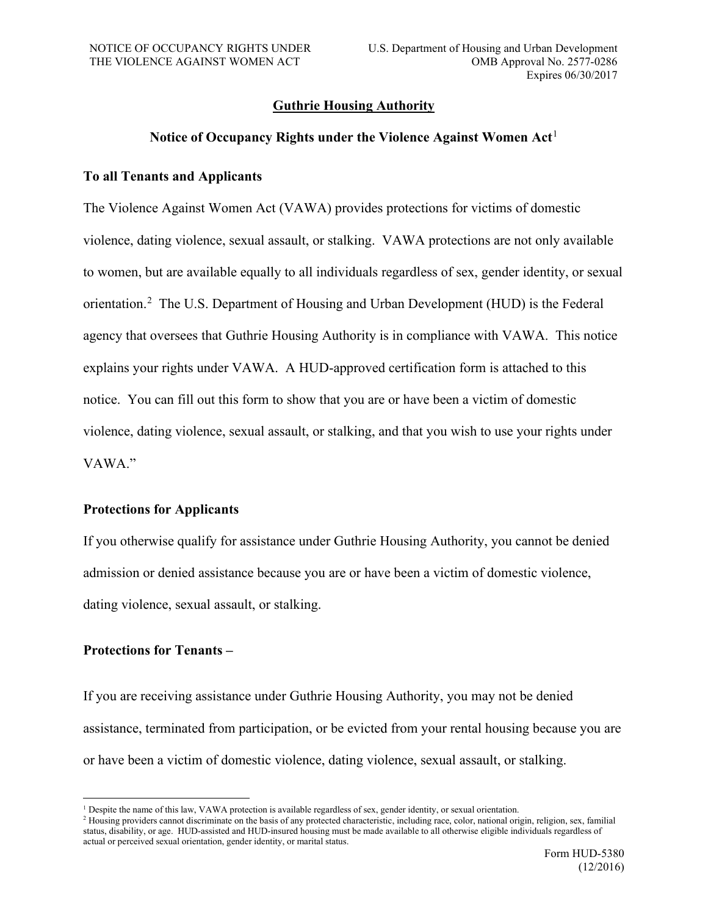## **Guthrie Housing Authority**

## **Notice of Occupancy Rights under the Violence Against Women Act**[1](#page-0-0)

## **To all Tenants and Applicants**

The Violence Against Women Act (VAWA) provides protections for victims of domestic violence, dating violence, sexual assault, or stalking. VAWA protections are not only available to women, but are available equally to all individuals regardless of sex, gender identity, or sexual orientation.<sup>[2](#page-0-1)</sup> The U.S. Department of Housing and Urban Development (HUD) is the Federal agency that oversees that Guthrie Housing Authority is in compliance with VAWA. This notice explains your rights under VAWA. A HUD-approved certification form is attached to this notice. You can fill out this form to show that you are or have been a victim of domestic violence, dating violence, sexual assault, or stalking, and that you wish to use your rights under VAWA."

## **Protections for Applicants**

If you otherwise qualify for assistance under Guthrie Housing Authority, you cannot be denied admission or denied assistance because you are or have been a victim of domestic violence, dating violence, sexual assault, or stalking.

## **Protections for Tenants –**

If you are receiving assistance under Guthrie Housing Authority, you may not be denied assistance, terminated from participation, or be evicted from your rental housing because you are or have been a victim of domestic violence, dating violence, sexual assault, or stalking.

<span id="page-0-0"></span><sup>&</sup>lt;sup>1</sup> Despite the name of this law, VAWA protection is available regardless of sex, gender identity, or sexual orientation.

<span id="page-0-1"></span><sup>&</sup>lt;sup>2</sup> Housing providers cannot discriminate on the basis of any protected characteristic, including race, color, national origin, religion, sex, familial status, disability, or age. HUD-assisted and HUD-insured housing must be made available to all otherwise eligible individuals regardless of actual or perceived sexual orientation, gender identity, or marital status.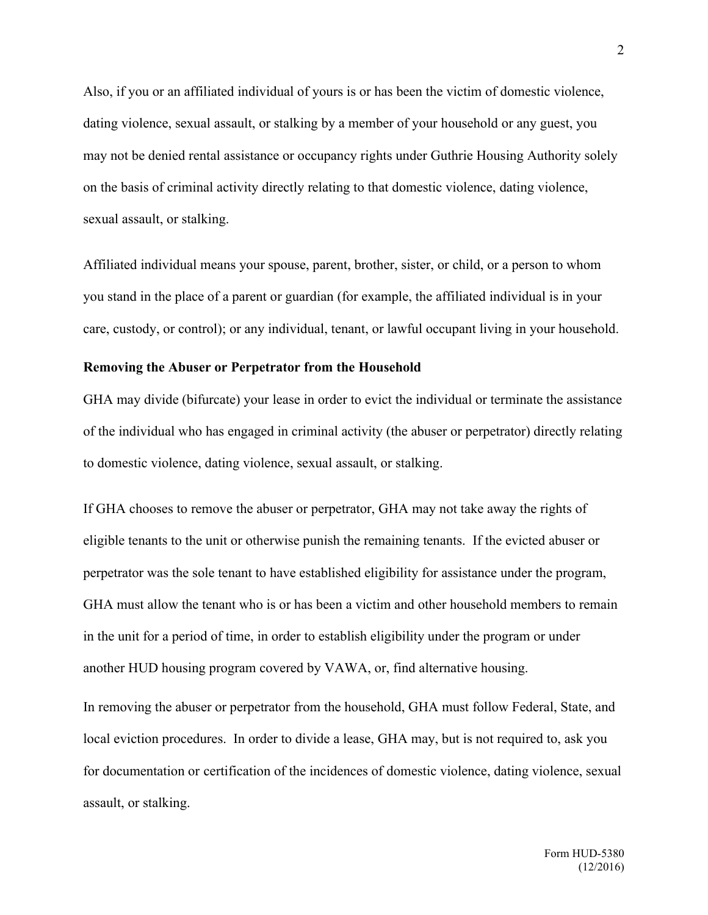Also, if you or an affiliated individual of yours is or has been the victim of domestic violence, dating violence, sexual assault, or stalking by a member of your household or any guest, you may not be denied rental assistance or occupancy rights under Guthrie Housing Authority solely on the basis of criminal activity directly relating to that domestic violence, dating violence, sexual assault, or stalking.

Affiliated individual means your spouse, parent, brother, sister, or child, or a person to whom you stand in the place of a parent or guardian (for example, the affiliated individual is in your care, custody, or control); or any individual, tenant, or lawful occupant living in your household.

#### **Removing the Abuser or Perpetrator from the Household**

GHA may divide (bifurcate) your lease in order to evict the individual or terminate the assistance of the individual who has engaged in criminal activity (the abuser or perpetrator) directly relating to domestic violence, dating violence, sexual assault, or stalking.

If GHA chooses to remove the abuser or perpetrator, GHA may not take away the rights of eligible tenants to the unit or otherwise punish the remaining tenants. If the evicted abuser or perpetrator was the sole tenant to have established eligibility for assistance under the program, GHA must allow the tenant who is or has been a victim and other household members to remain in the unit for a period of time, in order to establish eligibility under the program or under another HUD housing program covered by VAWA, or, find alternative housing.

In removing the abuser or perpetrator from the household, GHA must follow Federal, State, and local eviction procedures. In order to divide a lease, GHA may, but is not required to, ask you for documentation or certification of the incidences of domestic violence, dating violence, sexual assault, or stalking.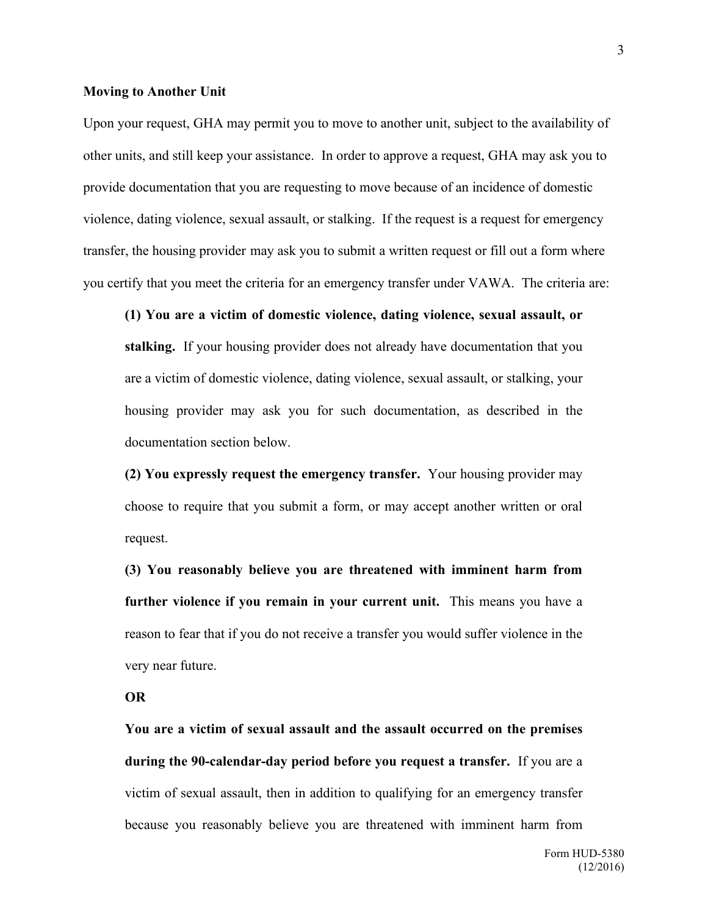#### **Moving to Another Unit**

Upon your request, GHA may permit you to move to another unit, subject to the availability of other units, and still keep your assistance. In order to approve a request, GHA may ask you to provide documentation that you are requesting to move because of an incidence of domestic violence, dating violence, sexual assault, or stalking. If the request is a request for emergency transfer, the housing provider may ask you to submit a written request or fill out a form where you certify that you meet the criteria for an emergency transfer under VAWA. The criteria are:

**(1) You are a victim of domestic violence, dating violence, sexual assault, or stalking.** If your housing provider does not already have documentation that you are a victim of domestic violence, dating violence, sexual assault, or stalking, your housing provider may ask you for such documentation, as described in the documentation section below.

**(2) You expressly request the emergency transfer.** Your housing provider may choose to require that you submit a form, or may accept another written or oral request.

**(3) You reasonably believe you are threatened with imminent harm from further violence if you remain in your current unit.** This means you have a reason to fear that if you do not receive a transfer you would suffer violence in the very near future.

#### **OR**

**You are a victim of sexual assault and the assault occurred on the premises during the 90-calendar-day period before you request a transfer.** If you are a victim of sexual assault, then in addition to qualifying for an emergency transfer because you reasonably believe you are threatened with imminent harm from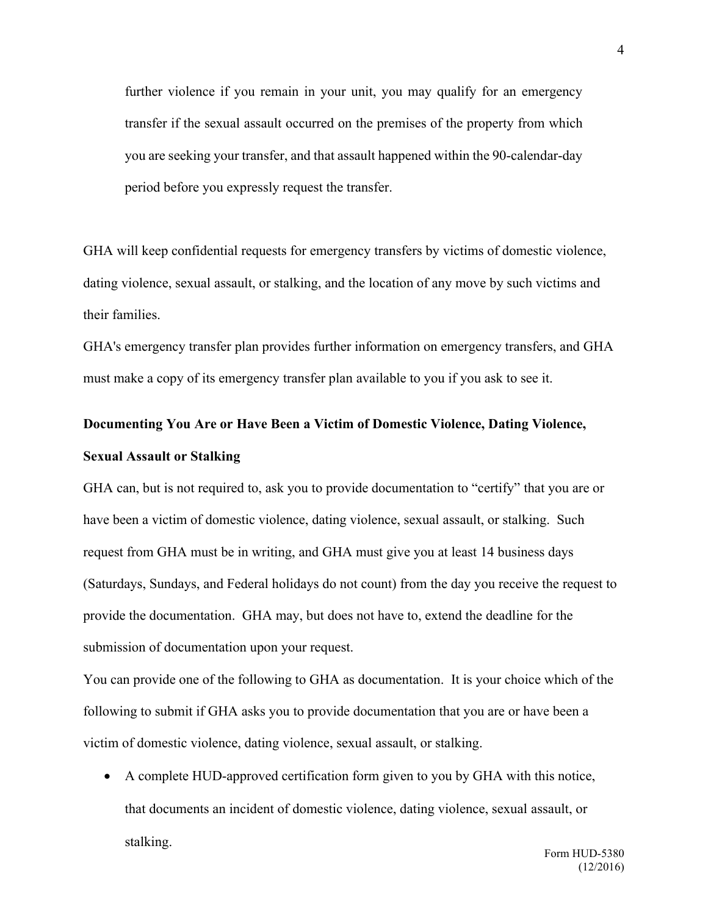further violence if you remain in your unit, you may qualify for an emergency transfer if the sexual assault occurred on the premises of the property from which you are seeking your transfer, and that assault happened within the 90-calendar-day period before you expressly request the transfer.

GHA will keep confidential requests for emergency transfers by victims of domestic violence, dating violence, sexual assault, or stalking, and the location of any move by such victims and their families.

GHA's emergency transfer plan provides further information on emergency transfers, and GHA must make a copy of its emergency transfer plan available to you if you ask to see it.

## **Documenting You Are or Have Been a Victim of Domestic Violence, Dating Violence, Sexual Assault or Stalking**

GHA can, but is not required to, ask you to provide documentation to "certify" that you are or have been a victim of domestic violence, dating violence, sexual assault, or stalking. Such request from GHA must be in writing, and GHA must give you at least 14 business days (Saturdays, Sundays, and Federal holidays do not count) from the day you receive the request to provide the documentation. GHA may, but does not have to, extend the deadline for the submission of documentation upon your request.

You can provide one of the following to GHA as documentation. It is your choice which of the following to submit if GHA asks you to provide documentation that you are or have been a victim of domestic violence, dating violence, sexual assault, or stalking.

• A complete HUD-approved certification form given to you by GHA with this notice, that documents an incident of domestic violence, dating violence, sexual assault, or stalking.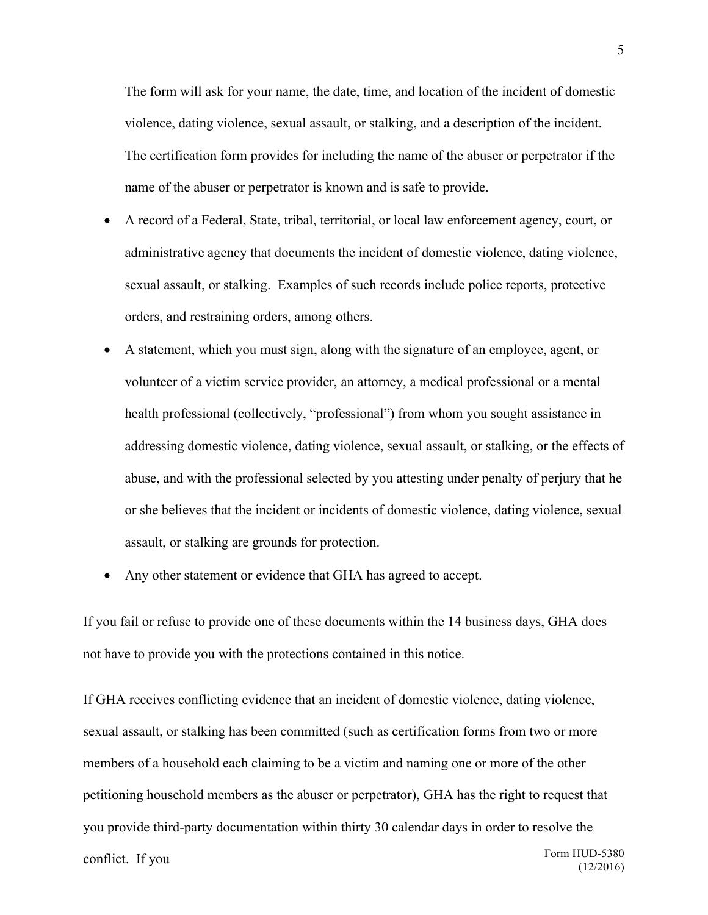The form will ask for your name, the date, time, and location of the incident of domestic violence, dating violence, sexual assault, or stalking, and a description of the incident. The certification form provides for including the name of the abuser or perpetrator if the name of the abuser or perpetrator is known and is safe to provide.

- A record of a Federal, State, tribal, territorial, or local law enforcement agency, court, or administrative agency that documents the incident of domestic violence, dating violence, sexual assault, or stalking. Examples of such records include police reports, protective orders, and restraining orders, among others.
- A statement, which you must sign, along with the signature of an employee, agent, or volunteer of a victim service provider, an attorney, a medical professional or a mental health professional (collectively, "professional") from whom you sought assistance in addressing domestic violence, dating violence, sexual assault, or stalking, or the effects of abuse, and with the professional selected by you attesting under penalty of perjury that he or she believes that the incident or incidents of domestic violence, dating violence, sexual assault, or stalking are grounds for protection.
- Any other statement or evidence that GHA has agreed to accept.

If you fail or refuse to provide one of these documents within the 14 business days, GHA does not have to provide you with the protections contained in this notice.

Form HUD-5380 If GHA receives conflicting evidence that an incident of domestic violence, dating violence, sexual assault, or stalking has been committed (such as certification forms from two or more members of a household each claiming to be a victim and naming one or more of the other petitioning household members as the abuser or perpetrator), GHA has the right to request that you provide third-party documentation within thirty 30 calendar days in order to resolve the conflict. If you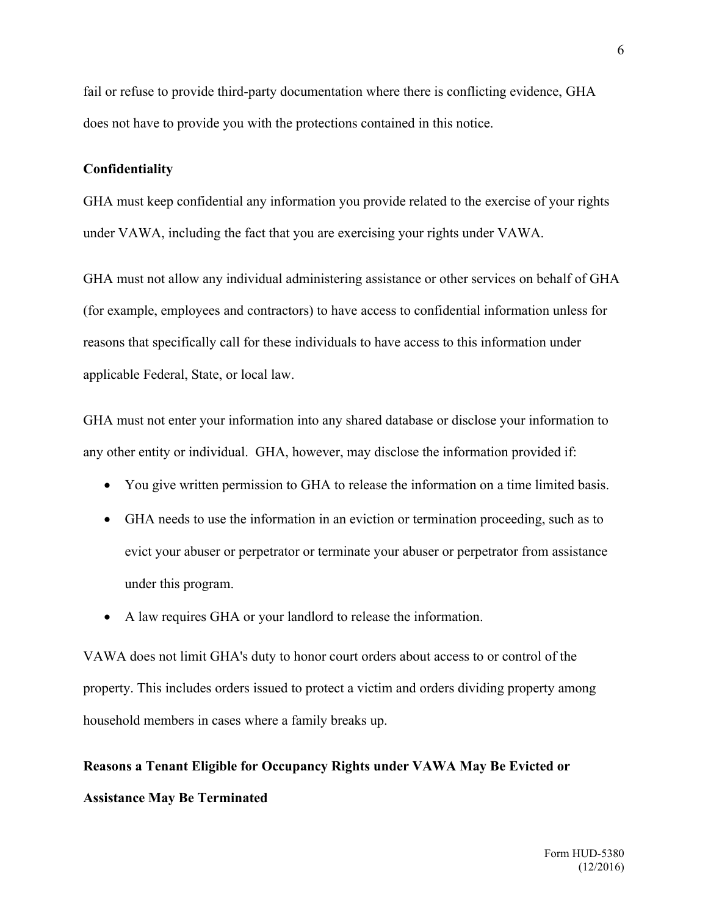fail or refuse to provide third-party documentation where there is conflicting evidence, GHA does not have to provide you with the protections contained in this notice.

#### **Confidentiality**

GHA must keep confidential any information you provide related to the exercise of your rights under VAWA, including the fact that you are exercising your rights under VAWA.

GHA must not allow any individual administering assistance or other services on behalf of GHA (for example, employees and contractors) to have access to confidential information unless for reasons that specifically call for these individuals to have access to this information under applicable Federal, State, or local law.

GHA must not enter your information into any shared database or disclose your information to any other entity or individual. GHA, however, may disclose the information provided if:

- You give written permission to GHA to release the information on a time limited basis.
- GHA needs to use the information in an eviction or termination proceeding, such as to evict your abuser or perpetrator or terminate your abuser or perpetrator from assistance under this program.
- A law requires GHA or your landlord to release the information.

VAWA does not limit GHA's duty to honor court orders about access to or control of the property. This includes orders issued to protect a victim and orders dividing property among household members in cases where a family breaks up.

# **Reasons a Tenant Eligible for Occupancy Rights under VAWA May Be Evicted or Assistance May Be Terminated**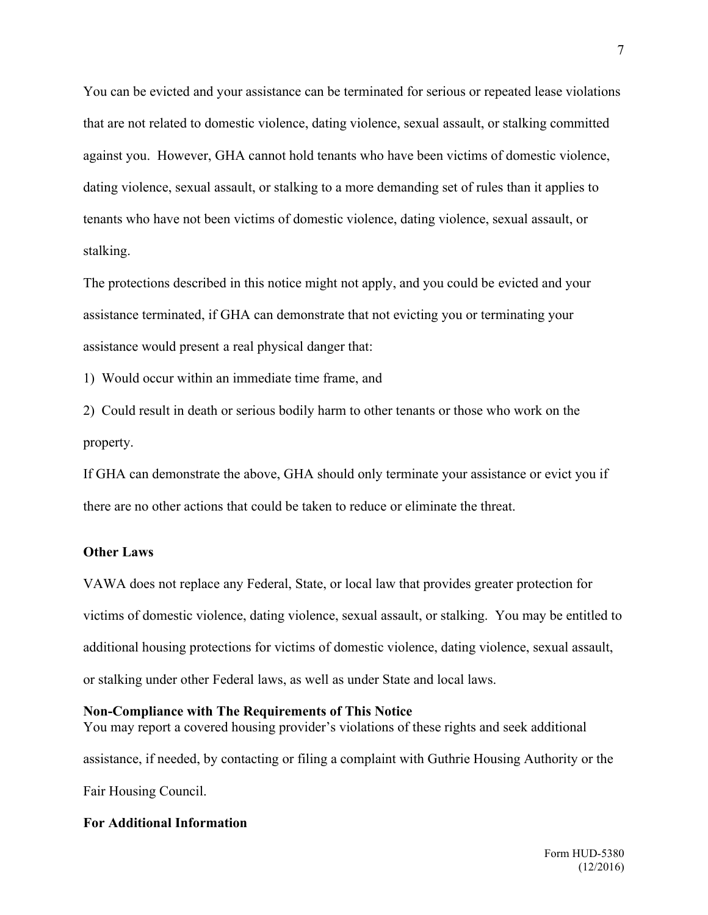You can be evicted and your assistance can be terminated for serious or repeated lease violations that are not related to domestic violence, dating violence, sexual assault, or stalking committed against you. However, GHA cannot hold tenants who have been victims of domestic violence, dating violence, sexual assault, or stalking to a more demanding set of rules than it applies to tenants who have not been victims of domestic violence, dating violence, sexual assault, or stalking.

The protections described in this notice might not apply, and you could be evicted and your assistance terminated, if GHA can demonstrate that not evicting you or terminating your assistance would present a real physical danger that:

1) Would occur within an immediate time frame, and

2) Could result in death or serious bodily harm to other tenants or those who work on the property.

If GHA can demonstrate the above, GHA should only terminate your assistance or evict you if there are no other actions that could be taken to reduce or eliminate the threat.

#### **Other Laws**

VAWA does not replace any Federal, State, or local law that provides greater protection for victims of domestic violence, dating violence, sexual assault, or stalking. You may be entitled to additional housing protections for victims of domestic violence, dating violence, sexual assault, or stalking under other Federal laws, as well as under State and local laws.

#### **Non-Compliance with The Requirements of This Notice**

You may report a covered housing provider's violations of these rights and seek additional assistance, if needed, by contacting or filing a complaint with Guthrie Housing Authority or the Fair Housing Council.

## **For Additional Information**